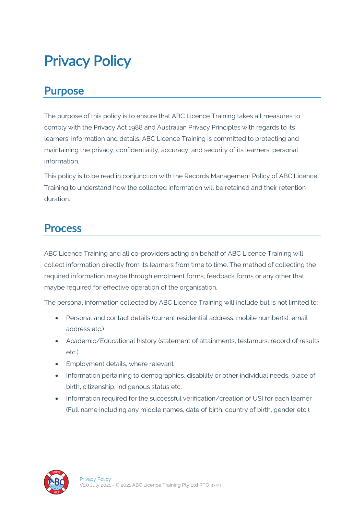# Privacy Policy

#### Purpose

The purpose of this policy is to ensure that ABC Licence Training takes all measures to comply with the Privacy Act 1988 and Australian Privacy Principles with regards to its learners' information and details. ABC Licence Training is committed to protecting and maintaining the privacy, confidentiality, accuracy, and security of its learners' personal information.

This policy is to be read in conjunction with the Records Management Policy of ABC Licence Training to understand how the collected information will be retained and their retention duration.

#### Process

ABC Licence Training and all co-providers acting on behalf of ABC Licence Training will collect information directly from its learners from time to time. The method of collecting the required information maybe through enrolment forms, feedback forms or any other that maybe required for effective operation of the organisation.

The personal information collected by ABC Licence Training will include but is not limited to:

- Personal and contact details (current residential address, mobile number(s), email address etc.)
- Academic/Educational history (statement of attainments, testamurs, record of results etc.)
- Employment details, where relevant
- Information pertaining to demographics, disability or other individual needs, place of birth, citizenship, indigenous status etc.
- Information required for the successful verification/creation of USI for each learner (Full name including any middle names, date of birth, country of birth, gender etc.).

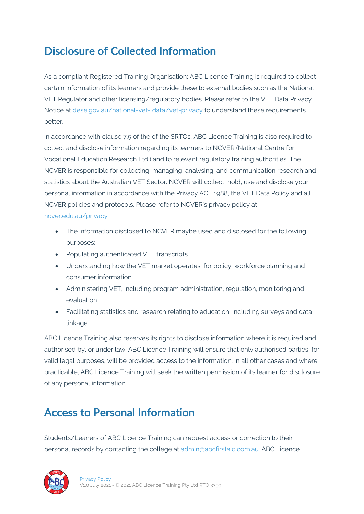# Disclosure of Collected Information

As a compliant Registered Training Organisation; ABC Licence Training is required to collect certain information of its learners and provide these to external bodies such as the National VET Regulator and other licensing/regulatory bodies. Please refer to the VET Data Privacy Notice at dese.gov.au/national-vet- data/vet-privacy to understand these requirements better.

In accordance with clause 7.5 of the of the SRTOs; ABC Licence Training is also required to collect and disclose information regarding its learners to NCVER (National Centre for Vocational Education Research Ltd.) and to relevant regulatory training authorities. The NCVER is responsible for collecting, managing, analysing, and communication research and statistics about the Australian VET Sector. NCVER will collect, hold, use and disclose your personal information in accordance with the Privacy ACT 1988, the VET Data Policy and all NCVER policies and protocols. Please refer to NCVER's privacy policy at ncver.edu.au/privacy.

- The information disclosed to NCVER maybe used and disclosed for the following purposes:
- Populating authenticated VET transcripts
- Understanding how the VET market operates, for policy, workforce planning and consumer information.
- Administering VET, including program administration, regulation, monitoring and evaluation.
- Facilitating statistics and research relating to education, including surveys and data linkage.

ABC Licence Training also reserves its rights to disclose information where it is required and authorised by, or under law. ABC Licence Training will ensure that only authorised parties, for valid legal purposes, will be provided access to the information. In all other cases and where practicable, ABC Licence Training will seek the written permission of its learner for disclosure of any personal information.

## Access to Personal Information

Students/Leaners of ABC Licence Training can request access or correction to their personal records by contacting the college at admin@abcfirstaid.com.au. ABC Licence

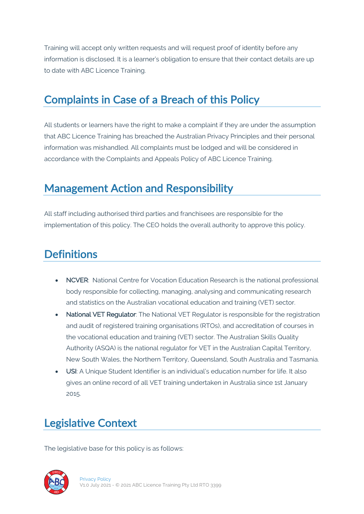Training will accept only written requests and will request proof of identity before any information is disclosed. It is a learner's obligation to ensure that their contact details are up to date with ABC Licence Training.

## Complaints in Case of a Breach of this Policy

All students or learners have the right to make a complaint if they are under the assumption that ABC Licence Training has breached the Australian Privacy Principles and their personal information was mishandled. All complaints must be lodged and will be considered in accordance with the Complaints and Appeals Policy of ABC Licence Training.

#### Management Action and Responsibility

All staff including authorised third parties and franchisees are responsible for the implementation of this policy. The CEO holds the overall authority to approve this policy.

## **Definitions**

- NCVER: National Centre for Vocation Education Research is the national professional body responsible for collecting, managing, analysing and communicating research and statistics on the Australian vocational education and training (VET) sector.
- National VET Regulator: The National VET Regulator is responsible for the registration and audit of registered training organisations (RTOs), and accreditation of courses in the vocational education and training (VET) sector. The Australian Skills Quality Authority (ASQA) is the national regulator for VET in the Australian Capital Territory, New South Wales, the Northern Territory, Queensland, South Australia and Tasmania.
- USI: A Unique Student Identifier is an individual's education number for life. It also gives an online record of all VET training undertaken in Australia since 1st January 2015.

# Legislative Context

The legislative base for this policy is as follows: